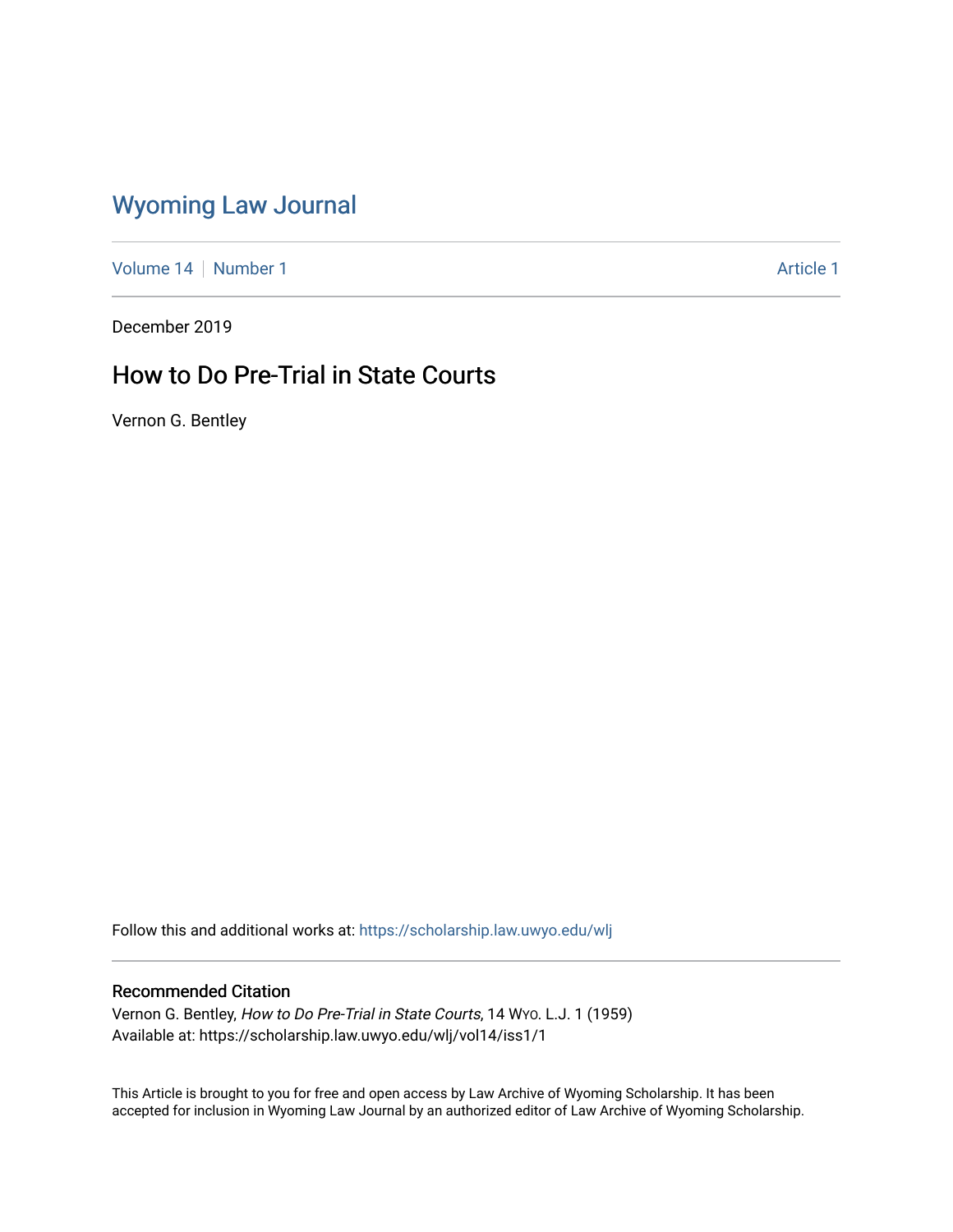# [Wyoming Law Journal](https://scholarship.law.uwyo.edu/wlj)

[Volume 14](https://scholarship.law.uwyo.edu/wlj/vol14) | [Number 1](https://scholarship.law.uwyo.edu/wlj/vol14/iss1) Article 1

December 2019

## How to Do Pre-Trial in State Courts

Vernon G. Bentley

Follow this and additional works at: [https://scholarship.law.uwyo.edu/wlj](https://scholarship.law.uwyo.edu/wlj?utm_source=scholarship.law.uwyo.edu%2Fwlj%2Fvol14%2Fiss1%2F1&utm_medium=PDF&utm_campaign=PDFCoverPages) 

### Recommended Citation

Vernon G. Bentley, How to Do Pre-Trial in State Courts, 14 WYO. L.J. 1 (1959) Available at: https://scholarship.law.uwyo.edu/wlj/vol14/iss1/1

This Article is brought to you for free and open access by Law Archive of Wyoming Scholarship. It has been accepted for inclusion in Wyoming Law Journal by an authorized editor of Law Archive of Wyoming Scholarship.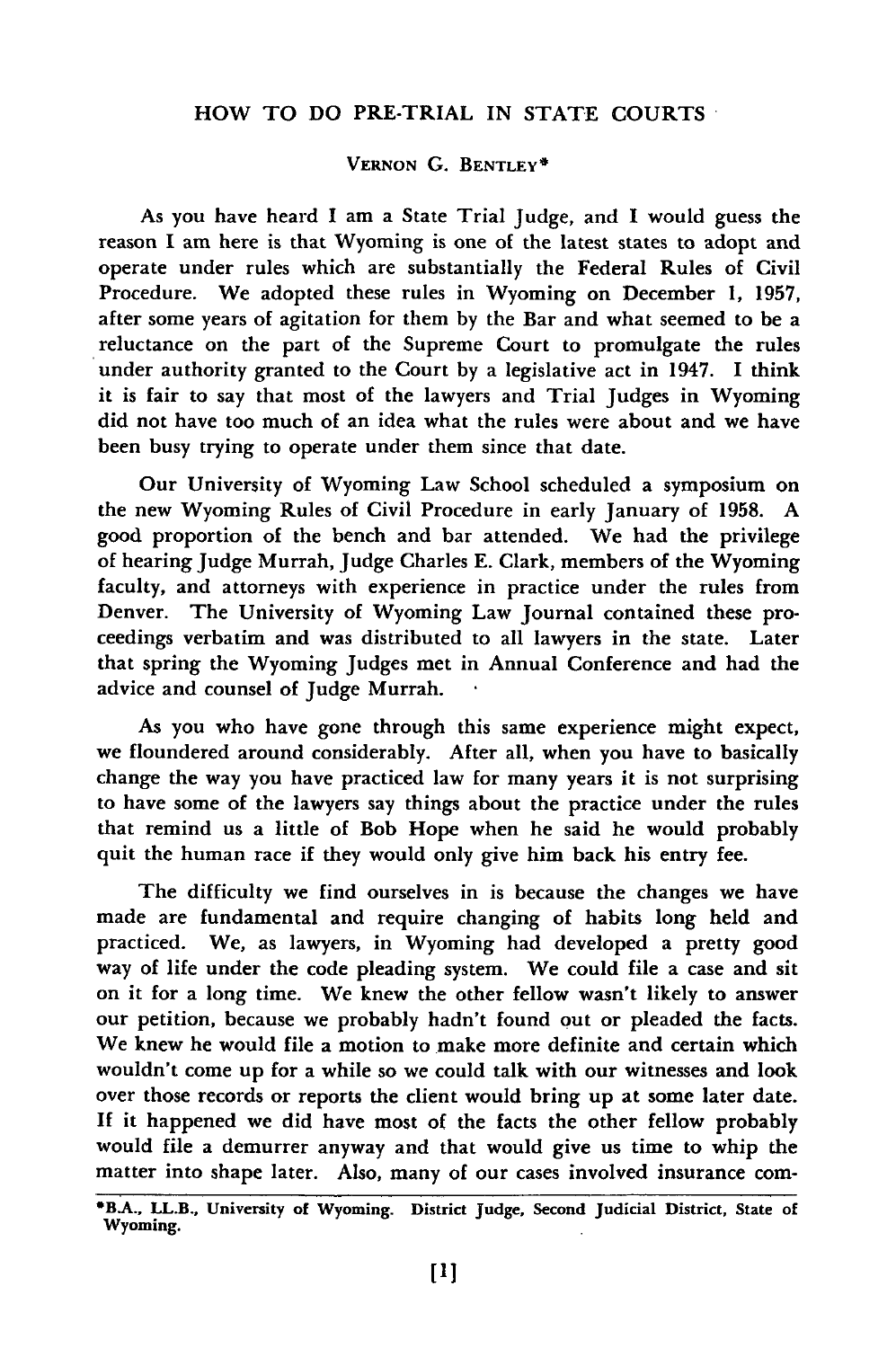#### HOW TO **DO** PRE-TRIAL IN STATE COURTS

### **VERNON G. BENTLEY\***

As you have heard **I** am a State Trial Judge, and **I** would guess the reason I am here is that Wyoming is one of the latest states to adopt and operate under rules which are substantially the Federal Rules of Civil Procedure. We adopted these rules in Wyoming on December **1, 1957,** after some years of agitation for them by the Bar and what seemed to be a reluctance on the part of the Supreme Court to promulgate the rules under authority granted to the Court by a legislative act in 1947. I think it is fair to say that most of the lawyers and Trial Judges in Wyoming did not have too much of an idea what the rules were about and we have been busy trying to operate under them since that date.

Our University of Wyoming Law School scheduled a symposium on the new Wyoming Rules of Civil Procedure in early January of 1958. A good proportion of the bench and bar attended. We had the privilege of hearing Judge Murrah, Judge Charles E. Clark, members of the Wyoming faculty, and attorneys with experience in practice under the rules from Denver. The University of Wyoming Law Journal contained these proceedings verbatim and was distributed to all lawyers in the state. Later that spring the Wyoming Judges met in Annual Conference and had the advice and counsel of Judge Murrah.

As you who have gone through this same experience might expect, we floundered around considerably. After all, when you have to basically change the way you have practiced law for many years it is not surprising to have some of the lawyers say things about the practice under the rules that remind us a little of Bob Hope when he said he would probably quit the human race if they would only give him back his entry fee.

The difficulty we find ourselves in is because the changes we have made are fundamental and require changing of habits long held and practiced. We, as lawyers, in Wyoming had developed a pretty good way of life under the code pleading system. We could file a case and sit on it for a long time. We knew the other fellow wasn't likely to answer our petition, because we probably hadn't found out or pleaded the facts. We knew he would file a motion to make more definite and certain which wouldn't come up for a while so we could talk with our witnesses and look over those records or reports the client would bring up at some later date. If it happened we did have most of the facts the other fellow probably would file a demurrer anyway and that would give us time to whip the matter into shape later. Also, many of our cases involved insurance con-

**<sup>\*</sup>BA., LL.B., University of Wyoming. District Judge, Second Judicial District, State of Wyoming.**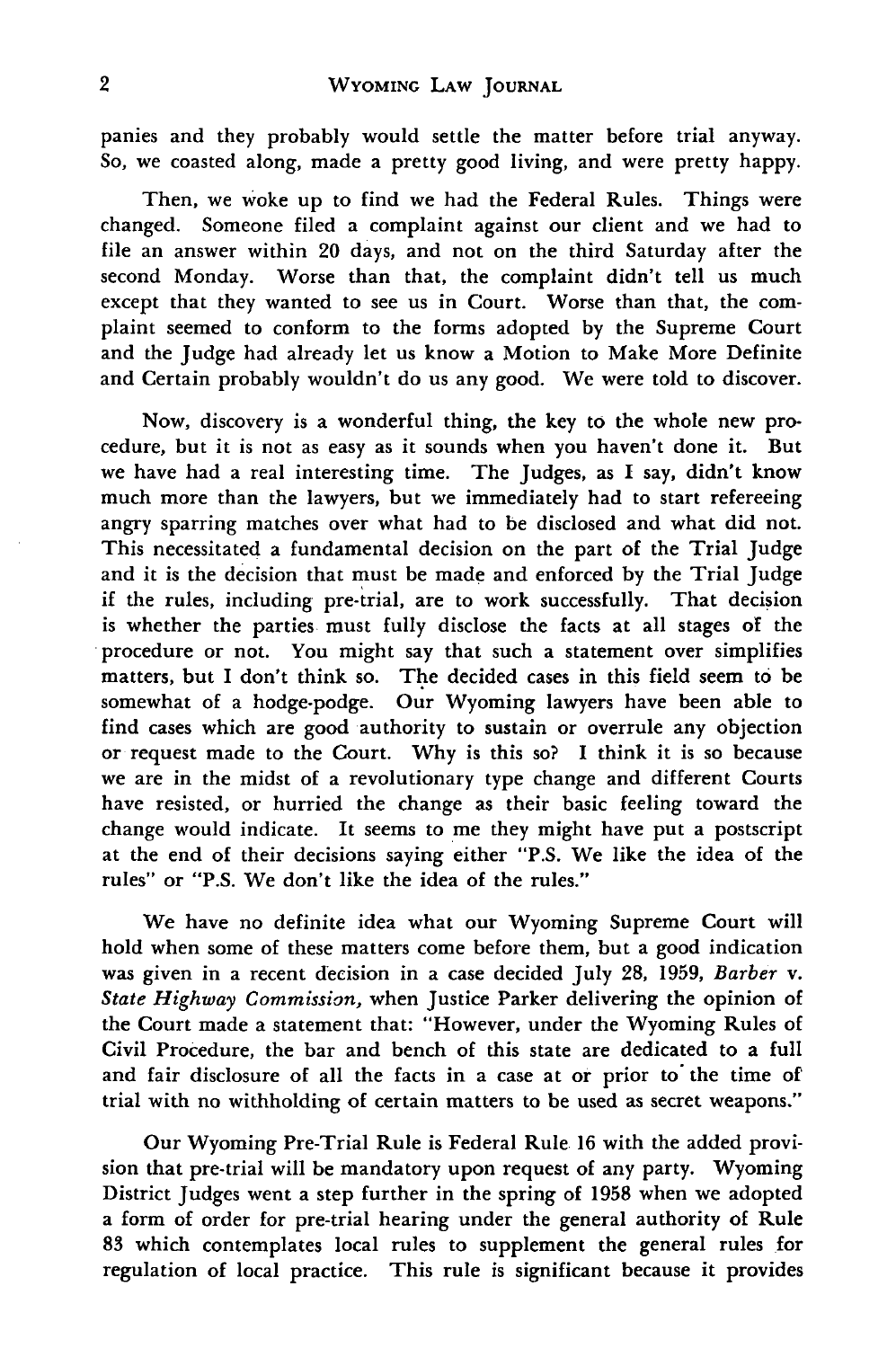panies and they probably would settle the matter before trial anyway. So, we coasted along, made a pretty good living, and were pretty happy.

Then, we woke up to find we had the Federal Rules. Things were changed. Someone filed a complaint against our client and we had to file an answer within 20 days, and not on the third Saturday after the second Monday. Worse than that, the complaint didn't tell us much except that they wanted to see us in Court. Worse than that, the complaint seemed to conform to the forms adopted by the Supreme Court and the Judge had already let us know a Motion to Make More Definite and Certain probably wouldn't do us any good. We were told to discover.

Now, discovery is a wonderful thing, the key to the whole new procedure, but it is not as easy as it sounds when you haven't done it. But we have had a real interesting time. The Judges, as **I** say, didn't know much more than the lawyers, but we immediately had to start refereeing angry sparring matches over what had to be disclosed and what did not. This necessitated a fundamental decision on the part of the Trial Judge and it is the decision that must be made and enforced by the Trial Judge if the rules, including pre-trial, are to work successfully. That decision is whether the parties must fully disclose the facts at all stages of the procedure or not. You might say that such a statement over simplifies matters, but I don't think so. The decided cases in this field seem to be somewhat of a hodge-podge. Our Wyoming lawyers have been able to find cases which are good authority to sustain or overrule any objection or request made to the Court. Why is this so? **I** think it is so because we are in the midst of a revolutionary type change and different Courts have resisted, or hurried the change as their basic feeling toward the change would indicate. It seems to me they might have put a postscript at the end of their decisions saying either "P.S. We like the idea of the rules" or "P.S. We don't like the idea of the rules."

We have no definite idea what our Wyoming Supreme Court will hold when some of these matters come before them, but a good indication was given in a recent decision in a case decided July **28, 1959,** *Barber* v. *State Highway Commission,* when Justice Parker delivering the opinion of the Court made a statement that: "However, under the Wyoming Rules of Civil Procedure, the bar and bench of this state are dedicated to a full and fair disclosure of all the facts in a case at or prior to' the time of trial with no withholding of certain matters to be used as secret weapons."

Our Wyoming Pre-Trial Rule is Federal Rule **16** with the added provision that pre-trial will be mandatory upon request of any party. Wyoming District Judges went a step further in the spring of **1958** when we adopted a form of order for pre-trial hearing under the general authority of Rule **83** which contemplates local rules to supplement the general rules for regulation of local practice. This rule is significant because it provides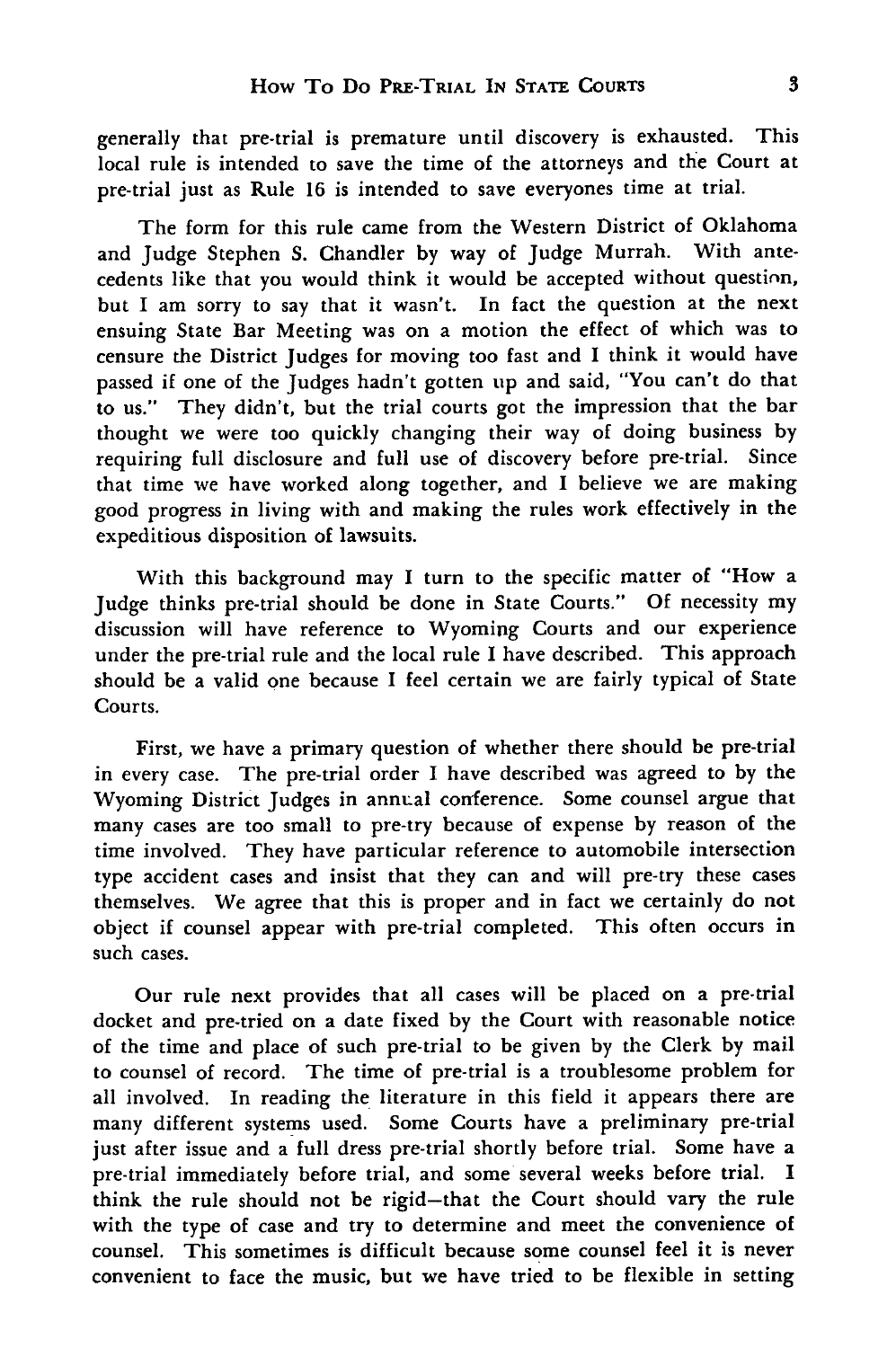generally that pre-trial is premature until discovery is exhausted. This local rule is intended to save the time of the attorneys and the Court at pre-trial just as Rule **16** is intended to save everyones time at trial.

The form for this rule came from the Western District of Oklahoma and Judge Stephen S. Chandler by way of Judge Murrah. With antecedents like that you would think it would be accepted without question, but I am sorry to say that it wasn't. In fact the question at the next ensuing State Bar Meeting was on a motion the effect of which was to censure the District Judges for moving too fast and I think it would have passed if one of the Judges hadn't gotten up and said, "You can't do that to us." They didn't, but the trial courts got the impression that the bar thought we were too quickly changing their way of doing business by requiring full disclosure and full use of discovery before pre-trial. Since that time we have worked along together, and I believe we are making good progress in living with and making the rules work effectively in the expeditious disposition of lawsuits.

With this background may I turn to the specific matter of "How a Judge thinks pre-trial should be done in State Courts." Of necessity my discussion will have reference to Wyoming Courts and our experience under the pre-trial rule and the local rule I have described. This approach should be a valid one because I feel certain we are fairly typical of State Courts.

First, we have a primary question of whether there should be pre-trial in every case. The pre-trial order I have described was agreed to by the Wyoming District Judges in annual conference. Some counsel argue that many cases are too small to pre-try because of expense by reason of the time involved. They have particular reference to automobile intersection type accident cases and insist that they can and will pre-try these cases themselves. We agree that this is proper and in fact we certainly do not object if counsel appear with pre-trial completed. This often occurs in such cases.

Our rule next provides that all cases will be placed on a pre-trial docket and pre-tried on a date fixed by the Court with reasonable notice of the time and place of such pre-trial to be given by the Clerk by mail to counsel of record. The time of pre-trial is a troublesome problem for all involved. In reading the literature in this field it appears there are many different systems used. Some Courts have a preliminary pre-trial just after issue and a full dress pre-trial shortly before trial. Some have a pre-trial immediately before trial, and some several weeks before trial. I think the rule should not be rigid-that the Court should vary the rule with the type of case and try to determine and meet the convenience of counsel. This sometimes is difficult because some counsel feel it is never convenient to face the music, but we have tried to be flexible in setting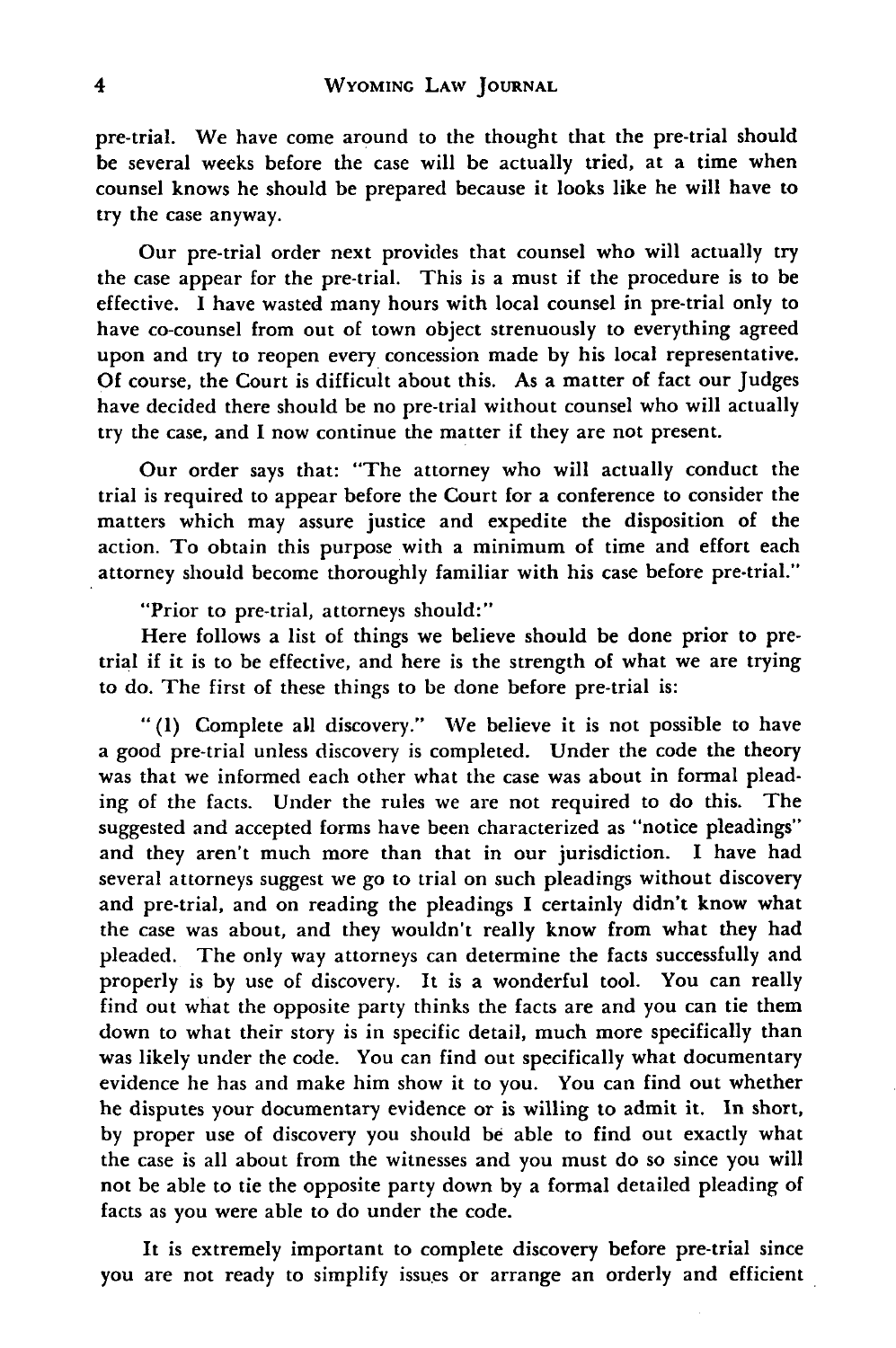pre-trial. We have come around to the thought that the pre-trial should be several weeks before the case will be actually tried, at a time when counsel knows he should be prepared because it looks like he will have to try the case anyway.

Our pre-trial order next provides that counsel who will actually try the case appear for the pre-trial. This is a must if the procedure is to be effective. **I** have wasted many hours with local counsel in pre-trial only to have co-counsel from out of town object strenuously to everything agreed upon and try to reopen every concession made **by** his local representative. **Of** course, the Court is difficult about this. As a matter of fact our Judges have decided there should be no pre-trial without counsel who will actually try the case, and **I** now continue the matter if they are not present.

Our order says that: "The attorney who will actually conduct the trial is required to appear before the Court for a conference to consider the matters which may assure justice and expedite the disposition of the action. To obtain this purpose with a minimum of time and effort each attorney should become thoroughly familiar with his case before pre-trial."

"Prior to pre-trial, attorneys should:"

Here follows a list of things we believe should be done prior to pretrial if it is to be effective, and here is the strength of what we are trying to do. The first of these things to be done before pre-trial is:

**" (1)** Complete all discovery." We believe it is not possible to have a good pre-trial unless discovery is completed. Under the code the theory was that we informed each other what the case was about in formal pleading of the facts. Under the rules we are not required to do this. The suggested and accepted forms have been characterized as "notice pleadings" and they aren't much more than that in our jurisdiction. **I** have had several attorneys suggest we go to trial on such pleadings without discovery and pre-trial, and on reading the pleadings **I** certainly didn't know what the case was about, and they wouldn't really know from what they had pleaded. The only way attorneys can determine the facts successfully and properly is **by** use of discovery. It is a wonderful tool. You can really find out what the opposite party thinks the facts are and you can tie them down to what their story is in specific detail, much more specifically than was likely under the code. You can find out specifically what documentary evidence he has and make him show it to you. You can find out whether he disputes your documentary evidence or is willing to admit it. In short, **by** proper use of discovery you should **be** able to find out exactly what the case is all about from the witnesses and you must do so since you will not be able to tie the opposite party down **by** a formal detailed pleading of facts as you were able to do under the code.

It is extremely important to complete discovery before pre-trial since you are not ready to simplify issues or arrange an orderly and efficient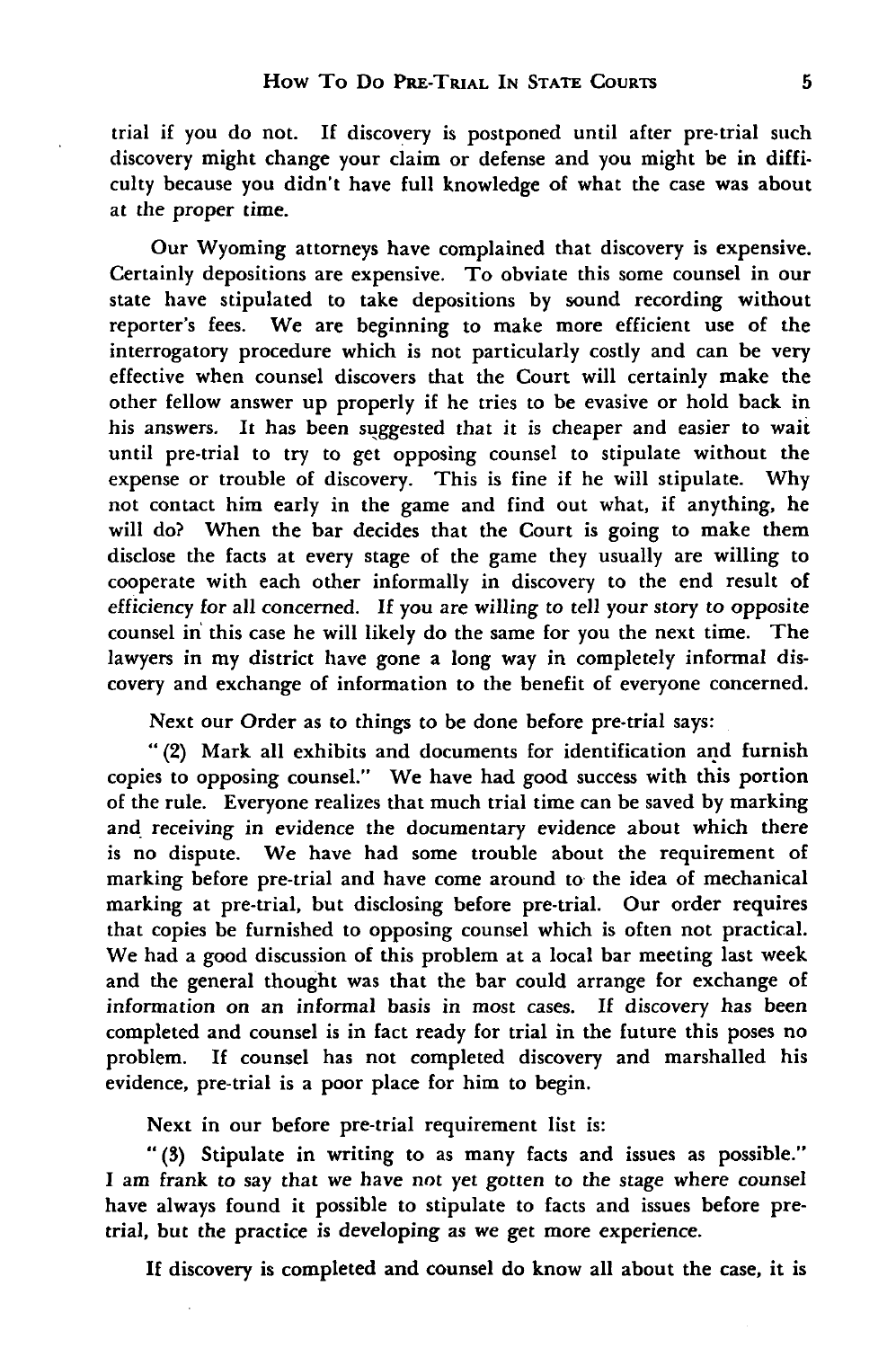trial if you do not. If discovery is postponed until after pre-trial such discovery might change your claim or defense and you might be in difficulty because you didn't have full knowledge of what the case was about at the proper time.

Our Wyoming attorneys have complained that discovery is expensive. Certainly depositions are expensive. To obviate this some counsel in our state have stipulated to take depositions **by** sound recording without reporter's fees. We are beginning to make more efficient use of the interrogatory procedure which is not particularly costly and can be very effective when counsel discovers that the Court will certainly make the other fellow answer up properly if he tries to be evasive or hold back in his answers. It has been suggested that it is cheaper and easier to wait until pre-trial to try to get opposing counsel to stipulate without the expense or trouble of discovery. This is fine if he will stipulate. **Why** not contact him early in the game and find out what, if anything, he will do? When the bar decides that the Court is going to make them disclose the facts at every stage of the game they usually are willing to cooperate with each other informally in discovery to the end result of efficiency for all concerned. **If** you are willing to tell your story to opposite counsel in this case he will likely do the same for you the next time. The lawyers in my district have gone a long way in completely informal discovery and exchange of information to the benefit of everyone concerned.

Next our Order as to things to be done before pre-trial says:

**"** (2) Mark all exhibits and documents for identification and furnish copies to opposing counsel." We have had good success with this portion of the rule. Everyone realizes that much trial time can be saved **by** marking and receiving in evidence the documentary evidence about which there is no dispute. We have had some trouble about the requirement of marking before pre-trial and have come around to the idea of mechanical marking at pre-trial, but disclosing before pre-trial. Our order requires that copies be furnished to opposing counsel which is often not practical. We had a good discussion of this problem at a local bar meeting last week and the general thought was that the bar could arrange for exchange of information on an informal basis in most cases. **If** discovery has been completed and counsel is in fact ready for trial in the future this poses no problem. If counsel has not completed discovery and marshalled his evidence, pre-trial is a poor place for him to begin.

Next in our before pre-trial requirement list is:

**"(3)** Stipulate in writing to as many facts and issues as possible." I am frank to say that we have not yet gotten to the stage where counsel have always found it possible to stipulate to facts and issues before pretrial, but the practice is developing as we get more experience.

**If** discovery is completed and counsel do know all about the case, it is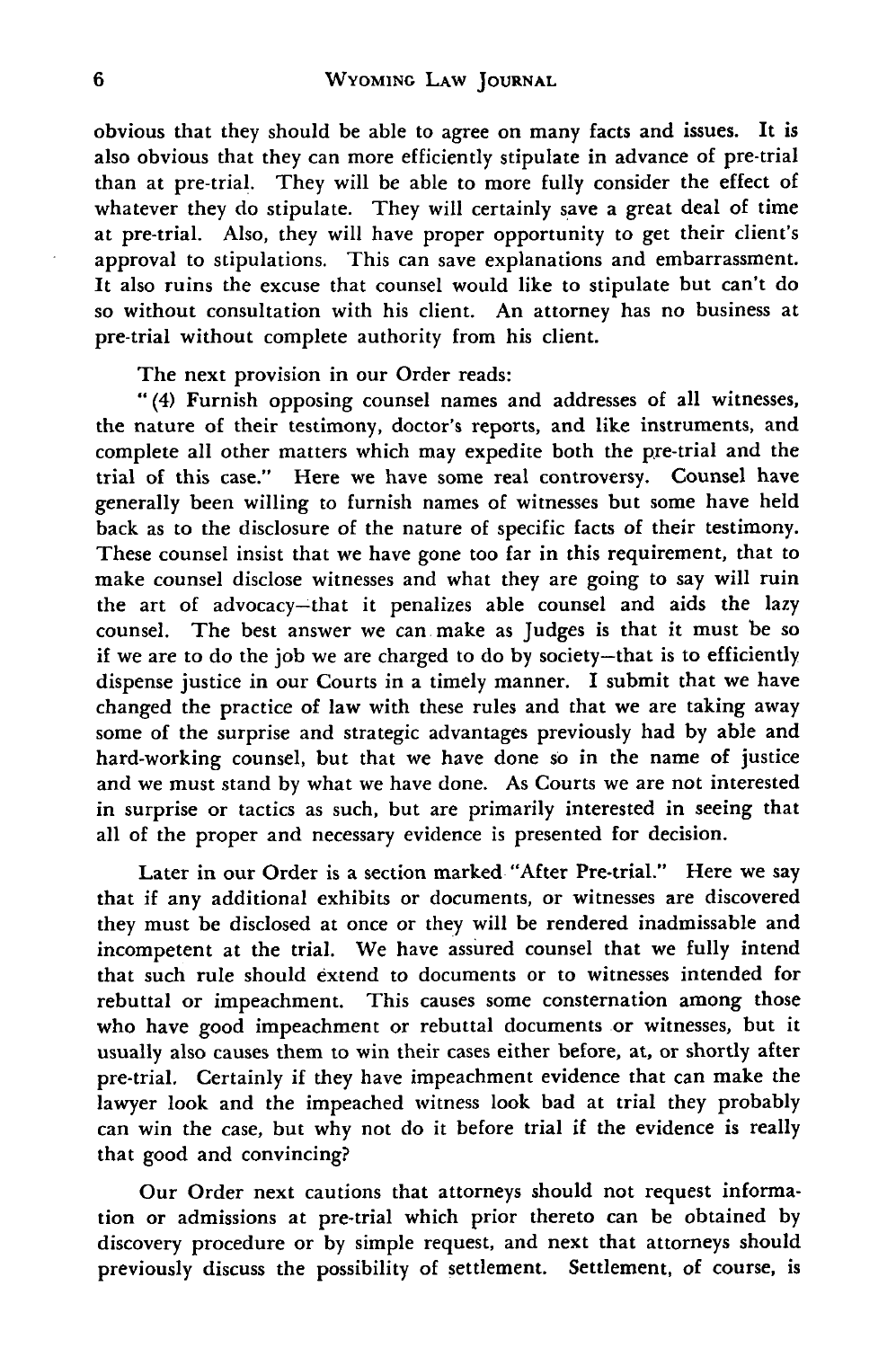obvious that they should be able to agree on many facts and issues. It is also obvious that they can more efficiently stipulate in advance of pre-trial than at pre-trial. They will be able to more fully consider the effect of whatever they do stipulate. They will certainly save a great deal of time at pre-trial. Also, they will have proper opportunity to get their client's approval to stipulations. This can save explanations and embarrassment. It also ruins the excuse that counsel would like to stipulate but can't do so without consultation with his client. An attorney has no business at pre-trial without complete authority from his client.

The next provision in our Order reads:

"(4) Furnish opposing counsel names and addresses of all witnesses, the nature of their testimony, doctor's reports, and like instruments, and complete all other matters which may expedite both the pre-trial and the trial of this case." Here we have some real controversy. Counsel have generally been willing to furnish names of witnesses but some have held back as to the disclosure of the nature of specific facts of their testimony. These counsel insist that we have gone too far in this requirement, that to make counsel disclose witnesses and what they are going to say will ruin the art of advocacy-that it penalizes able counsel and aids the lazy counsel. The best answer we can make as Judges is that it must be so if we are to do the **job** we are charged to do by society-that is to efficiently dispense justice in our Courts in a timely manner. I submit that we have changed the practice of law with these rules and that we are taking away some of the surprise and strategic advantages previously had by able and hard-working counsel, but that we have done so in the name of justice and we must stand by what we have done. As Courts we are not interested in surprise or tactics as such, but are primarily interested in seeing that all of the proper and necessary evidence is presented for decision.

Later in our Order is a section marked "After Pre-trial." Here we say that if any additional exhibits or documents, or witnesses are discovered they must be disclosed at once or they will be rendered inadmissable and incompetent at the trial. We have assured counsel that we fully intend that such rule should extend to documents or to witnesses intended for rebuttal or impeachment. This causes some consternation among those who have good impeachment or rebuttal documents or witnesses, but it usually also causes them to win their cases either before, at, or shortly after pre-trial. Certainly if they have impeachment evidence that can make the lawyer look and the impeached witness look bad at trial they probably can win the case, but why not do it before trial if the evidence is really that good and convincing?

Our Order next cautions that attorneys should not request information or admissions at pre-trial which prior thereto can be obtained by discovery procedure or by simple request, and next that attorneys should previously discuss the possibility of settlement. Settlement, of course, is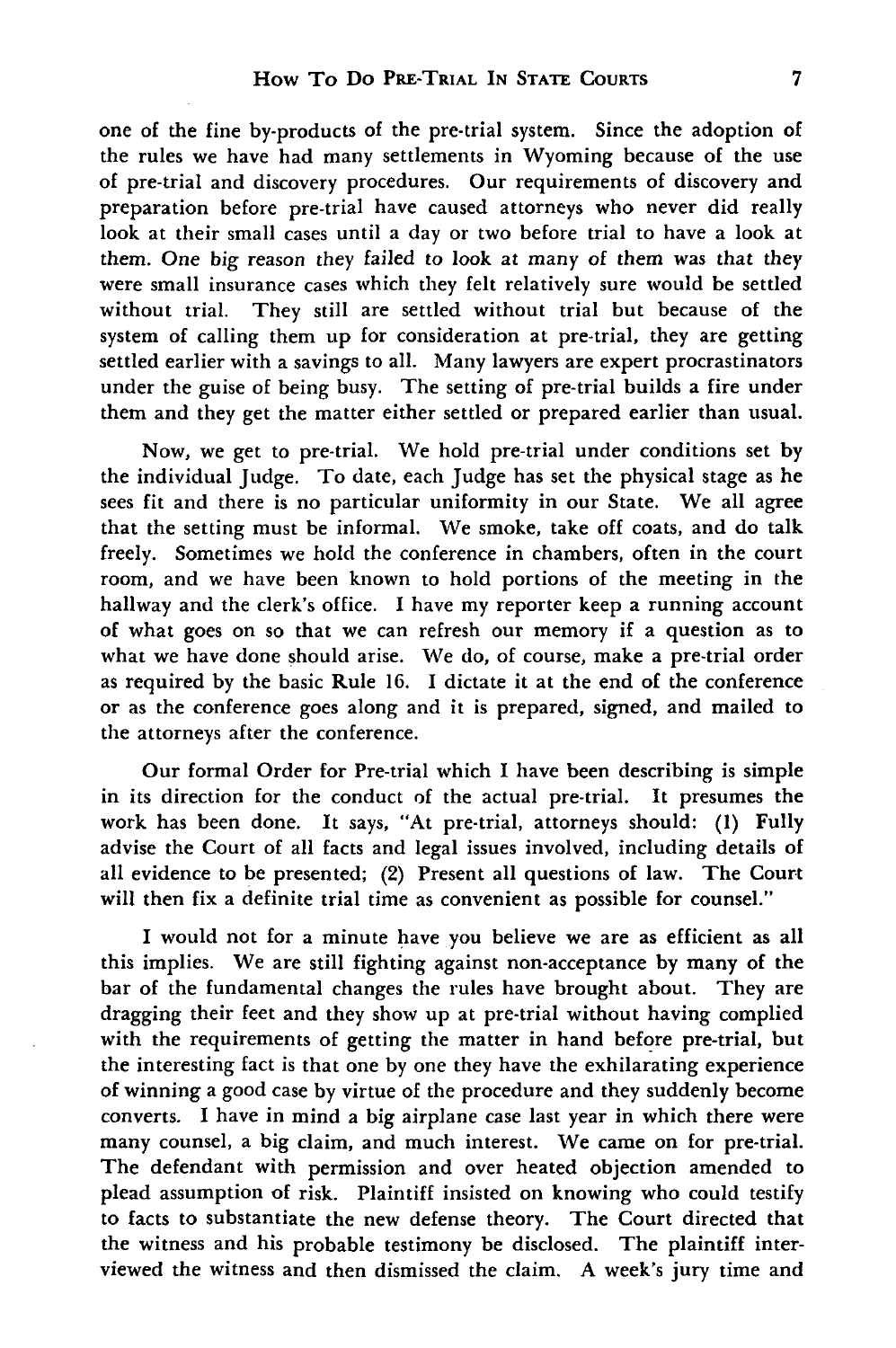one of the fine by-products of the pre-trial system. Since the adoption of the rules we have had many settlements in Wyoming because of the use of pre-trial and discovery procedures. Our requirements of discovery and preparation before pre-trial have caused attorneys who never did really look at their small cases until a day or two before trial to have a look at them. One big reason they failed to look at many of them was that they were small insurance cases which they felt relatively sure would be settled without trial. They still are settled without trial but because of the system of calling them up for consideration at pre-trial, they are getting settled earlier with a savings to all. Many lawyers are expert procrastinators under the guise of being busy. The setting of pre-trial builds a fire under them and they get the matter either settled or prepared earlier than usual.

Now, we get to pre-trial. We hold pre-trial under conditions set by the individual Judge. To date, each Judge has set the physical stage as he sees fit and there is no particular uniformity in our State. We all agree that the setting must be informal. We smoke, take off coats, and do talk freely. Sometimes we hold the conference in chambers, often in the court room, and we have been known to hold portions of the meeting in the hallway and the clerk's office. I have my reporter keep a running account of what goes on so that we can refresh our memory if a question as to what we have done should arise. We do, of course, make a pre-trial order as required by the basic Rule 16. I dictate it at the end of the conference or as the conference goes along and it is prepared, signed, and mailed to the attorneys after the conference.

Our formal Order for Pre-trial which I have been describing is simple in its direction for the conduct of the actual pre-trial. It presumes the work has been done. It says, "At pre-trial, attorneys should: (1) Fully advise the Court of all facts and legal issues involved, including details of all evidence to be presented; (2) Present all questions of law. The Court will then fix a definite trial time as convenient as possible for counsel."

I would not for a minute have you believe we are as efficient as all this implies. We are still fighting against non-acceptance by many of the bar of the fundamental changes the rules have brought about. They are dragging their feet and they show up at pre-trial without having complied with the requirements of getting the matter in hand before pre-trial, but the interesting fact is that one by one they have the exhilarating experience of winning a good case by virtue of the procedure and they suddenly become converts. I have in mind a big airplane case last year in which there were many counsel, a big claim, and much interest. We came on for pre-trial. The defendant with permission and over heated objection amended to plead assumption of risk. Plaintiff insisted on knowing who could testify to facts to substantiate the new defense theory. The Court directed that the witness and his probable testimony be disclosed. The plaintiff interviewed the witness and then dismissed the claim. A week's jury time and